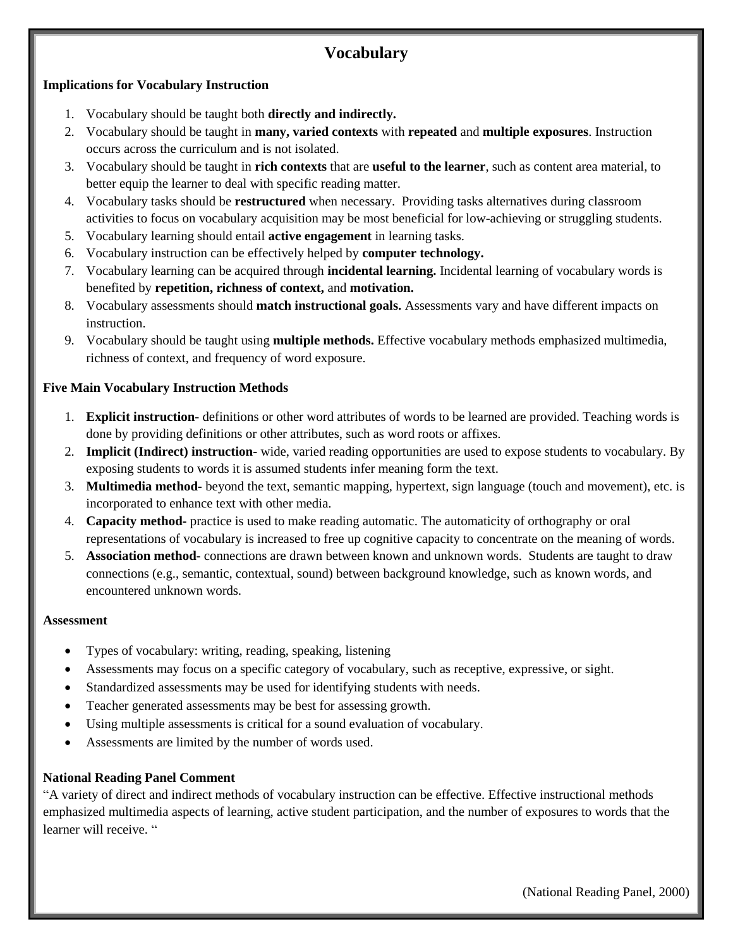# **Vocabulary**

#### **Implications for Vocabulary Instruction**

- 1. Vocabulary should be taught both **directly and indirectly.**
- 2. Vocabulary should be taught in **many, varied contexts** with **repeated** and **multiple exposures**. Instruction occurs across the curriculum and is not isolated.
- 3. Vocabulary should be taught in **rich contexts** that are **useful to the learner**, such as content area material, to better equip the learner to deal with specific reading matter.
- 4. Vocabulary tasks should be **restructured** when necessary. Providing tasks alternatives during classroom activities to focus on vocabulary acquisition may be most beneficial for low-achieving or struggling students.
- 5. Vocabulary learning should entail **active engagement** in learning tasks.
- 6. Vocabulary instruction can be effectively helped by **computer technology.**
- 7. Vocabulary learning can be acquired through **incidental learning.** Incidental learning of vocabulary words is benefited by **repetition, richness of context,** and **motivation.**
- 8. Vocabulary assessments should **match instructional goals.** Assessments vary and have different impacts on instruction.
- 9. Vocabulary should be taught using **multiple methods.** Effective vocabulary methods emphasized multimedia, richness of context, and frequency of word exposure.

### **Five Main Vocabulary Instruction Methods**

- 1. **Explicit instruction-** definitions or other word attributes of words to be learned are provided. Teaching words is done by providing definitions or other attributes, such as word roots or affixes.
- 2. **Implicit (Indirect) instruction-** wide, varied reading opportunities are used to expose students to vocabulary. By exposing students to words it is assumed students infer meaning form the text.
- 3. **Multimedia method-** beyond the text, semantic mapping, hypertext, sign language (touch and movement), etc. is incorporated to enhance text with other media.
- 4. **Capacity method-** practice is used to make reading automatic. The automaticity of orthography or oral representations of vocabulary is increased to free up cognitive capacity to concentrate on the meaning of words.
- 5. **Association method-** connections are drawn between known and unknown words. Students are taught to draw connections (e.g., semantic, contextual, sound) between background knowledge, such as known words, and encountered unknown words.

#### **Assessment**

- Types of vocabulary: writing, reading, speaking, listening
- Assessments may focus on a specific category of vocabulary, such as receptive, expressive, or sight.
- Standardized assessments may be used for identifying students with needs.
- Teacher generated assessments may be best for assessing growth.
- Using multiple assessments is critical for a sound evaluation of vocabulary.
- Assessments are limited by the number of words used.

#### **National Reading Panel Comment**

"A variety of direct and indirect methods of vocabulary instruction can be effective. Effective instructional methods emphasized multimedia aspects of learning, active student participation, and the number of exposures to words that the learner will receive. "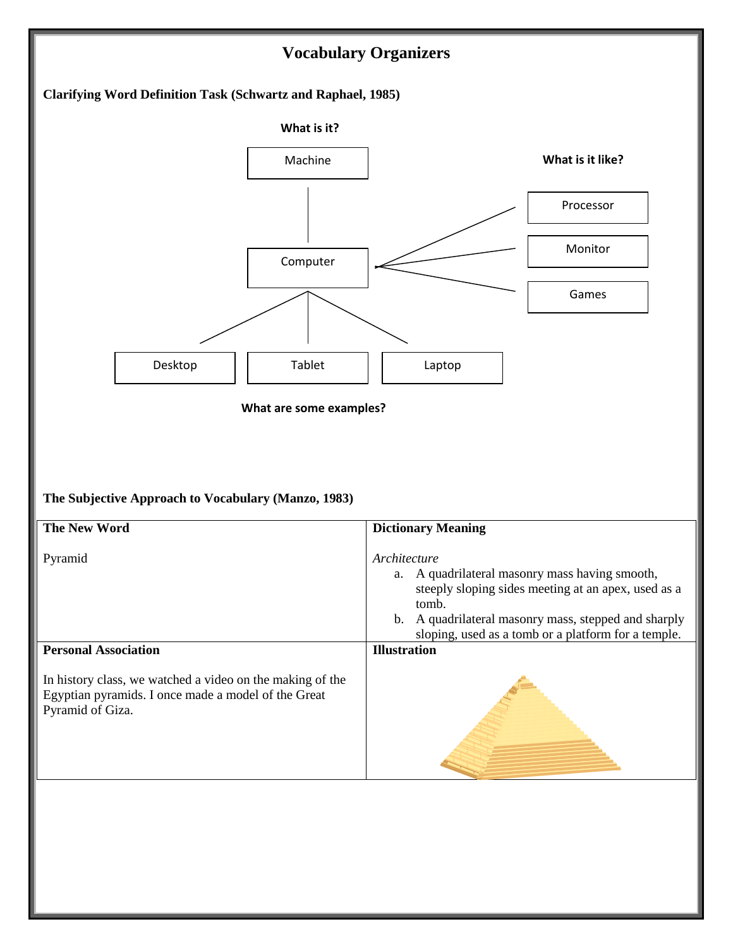

**Illustration**

**Personal Association**

In history class, we watched a video on the making of the Egyptian pyramids. I once made a model of the Great Pyramid of Giza.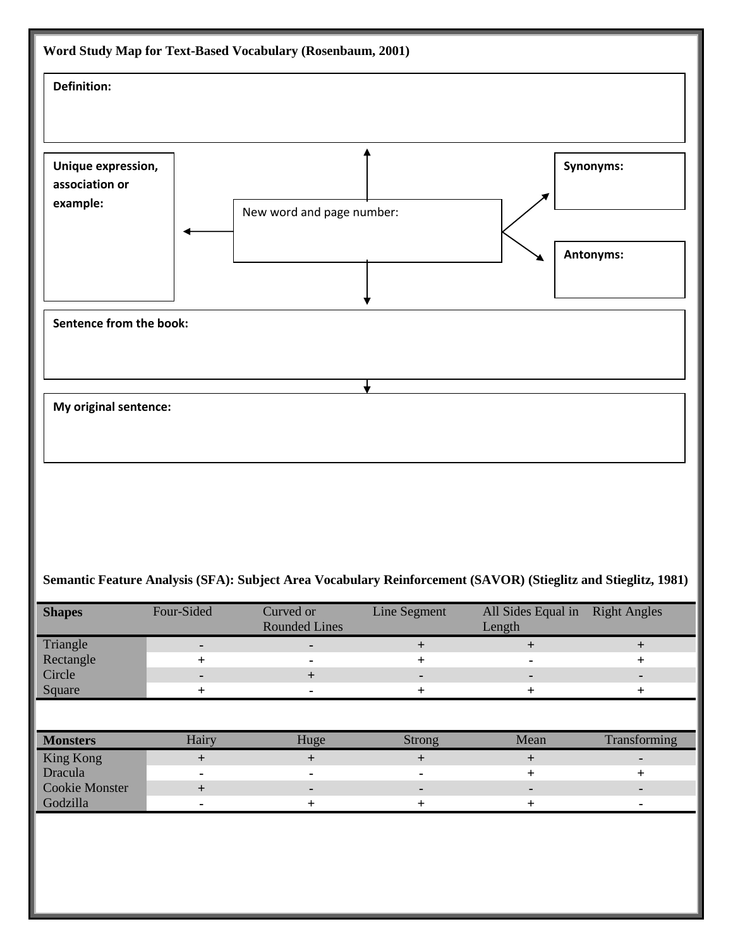

### **Semantic Feature Analysis (SFA): Subject Area Vocabulary Reinforcement (SAVOR) (Stieglitz and Stieglitz, 1981)**

| <b>Shapes</b>         | Four-Sided     | Curved or<br><b>Rounded Lines</b> | Line Segment | All Sides Equal in<br>Length | <b>Right Angles</b> |
|-----------------------|----------------|-----------------------------------|--------------|------------------------------|---------------------|
| Triangle              | $\blacksquare$ | $\blacksquare$                    | $+$          | $+$                          | $+$                 |
| Rectangle             | $\ddot{}$      |                                   | $+$          |                              | $\ddot{}$           |
| Circle                | ٠              | $^{+}$                            | -            |                              | ۰                   |
| Square                | $+$            | ٠                                 | $^{+}$       | $\pm$                        | $\ddot{}$           |
|                       |                |                                   |              |                              |                     |
| <b>Monsters</b>       | Hairy          | Huge                              | Strong       | Mean                         | Transforming        |
| King Kong             | $+$            | $+$                               | $+$          | $\ddot{}$                    | ۰                   |
| Dracula               |                |                                   | ۰            | $^{+}$                       | $+$                 |
| <b>Cookie Monster</b> | $+$            | -                                 | ۰            | ۰.                           | ۰                   |
| Godzilla              |                | $\pm$                             | $^{+}$       | $\ddot{}$                    | ۰                   |
|                       |                |                                   |              |                              |                     |
|                       |                |                                   |              |                              |                     |